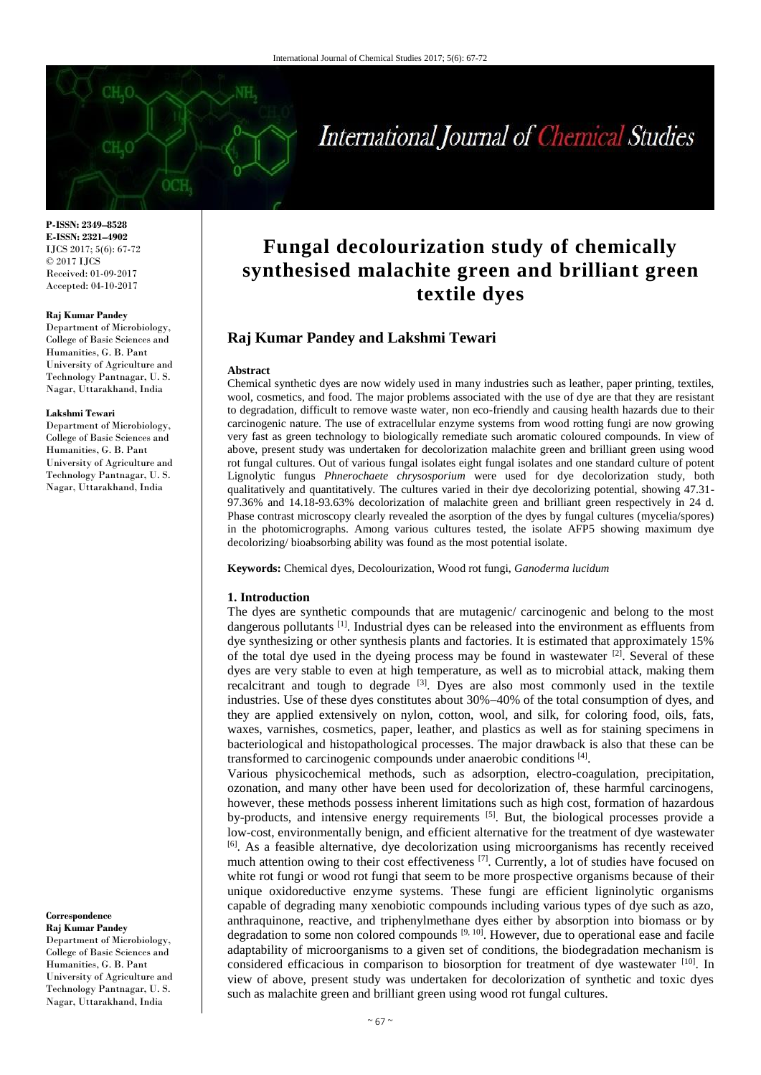# International Journal of Chemical Studies

**P-ISSN: 2349–8528 E-ISSN: 2321–4902** IJCS 2017; 5(6): 67-72 © 2017 IJCS Received: 01-09-2017 Accepted: 04-10-2017

#### **Raj Kumar Pandey**

Department of Microbiology, College of Basic Sciences and Humanities, G. B. Pant University of Agriculture and Technology Pantnagar, U. S. Nagar, Uttarakhand, India

#### **Lakshmi Tewari**

Department of Microbiology, College of Basic Sciences and Humanities, G. B. Pant University of Agriculture and Technology Pantnagar, U. S. Nagar, Uttarakhand, India

#### **Correspondence**

**Raj Kumar Pandey** Department of Microbiology, College of Basic Sciences and Humanities, G. B. Pant University of Agriculture and Technology Pantnagar, U. S. Nagar, Uttarakhand, India

# **Fungal decolourization study of chemically synthesised malachite green and brilliant green textile dyes**

## **Raj Kumar Pandey and Lakshmi Tewari**

#### **Abstract**

Chemical synthetic dyes are now widely used in many industries such as leather, paper printing, textiles, wool, cosmetics, and food. The major problems associated with the use of dye are that they are resistant to degradation, difficult to remove waste water, non eco-friendly and causing health hazards due to their carcinogenic nature. The use of extracellular enzyme systems from wood rotting fungi are now growing very fast as green technology to biologically remediate such aromatic coloured compounds. In view of above, present study was undertaken for decolorization malachite green and brilliant green using wood rot fungal cultures. Out of various fungal isolates eight fungal isolates and one standard culture of potent Lignolytic fungus *Phnerochaete chrysosporium* were used for dye decolorization study, both qualitatively and quantitatively. The cultures varied in their dye decolorizing potential, showing 47.31- 97.36% and 14.18-93.63% decolorization of malachite green and brilliant green respectively in 24 d. Phase contrast microscopy clearly revealed the asorption of the dyes by fungal cultures (mycelia/spores) in the photomicrographs. Among various cultures tested, the isolate AFP5 showing maximum dye decolorizing/ bioabsorbing ability was found as the most potential isolate.

**Keywords:** Chemical dyes, Decolourization, Wood rot fungi, *Ganoderma lucidum*

#### **1. Introduction**

The dyes are synthetic compounds that are mutagenic/ carcinogenic and belong to the most dangerous pollutants [1]. Industrial dyes can be released into the environment as effluents from dye synthesizing or other synthesis plants and factories. It is estimated that approximately 15% of the total dye used in the dyeing process may be found in wastewater  $^{[2]}$ . Several of these dyes are very stable to even at high temperature, as well as to microbial attack, making them recalcitrant and tough to degrade <sup>[3]</sup>. Dyes are also most commonly used in the textile industries. Use of these dyes constitutes about 30%–40% of the total consumption of dyes, and they are applied extensively on nylon, cotton, wool, and silk, for coloring food, oils, fats, waxes, varnishes, cosmetics, paper, leather, and plastics as well as for staining specimens in bacteriological and histopathological processes. The major drawback is also that these can be transformed to carcinogenic compounds under anaerobic conditions [4].

Various physicochemical methods, such as adsorption, electro-coagulation, precipitation, ozonation, and many other have been used for decolorization of, these harmful carcinogens, however, these methods possess inherent limitations such as high cost, formation of hazardous by-products, and intensive energy requirements [5]. But, the biological processes provide a low-cost, environmentally benign, and efficient alternative for the treatment of dye wastewater <sup>[6]</sup>. As a feasible alternative, dye decolorization using microorganisms has recently received much attention owing to their cost effectiveness  $^{[7]}$ . Currently, a lot of studies have focused on white rot fungi or wood rot fungi that seem to be more prospective organisms because of their unique oxidoreductive enzyme systems. These fungi are efficient ligninolytic organisms capable of degrading many xenobiotic compounds including various types of dye such as azo, anthraquinone, reactive, and triphenylmethane dyes either by absorption into biomass or by degradation to some non colored compounds  $[9, 10]$ . However, due to operational ease and facile adaptability of microorganisms to a given set of conditions, the biodegradation mechanism is considered efficacious in comparison to biosorption for treatment of dye wastewater [10]. In view of above, present study was undertaken for decolorization of synthetic and toxic dyes such as malachite green and brilliant green using wood rot fungal cultures.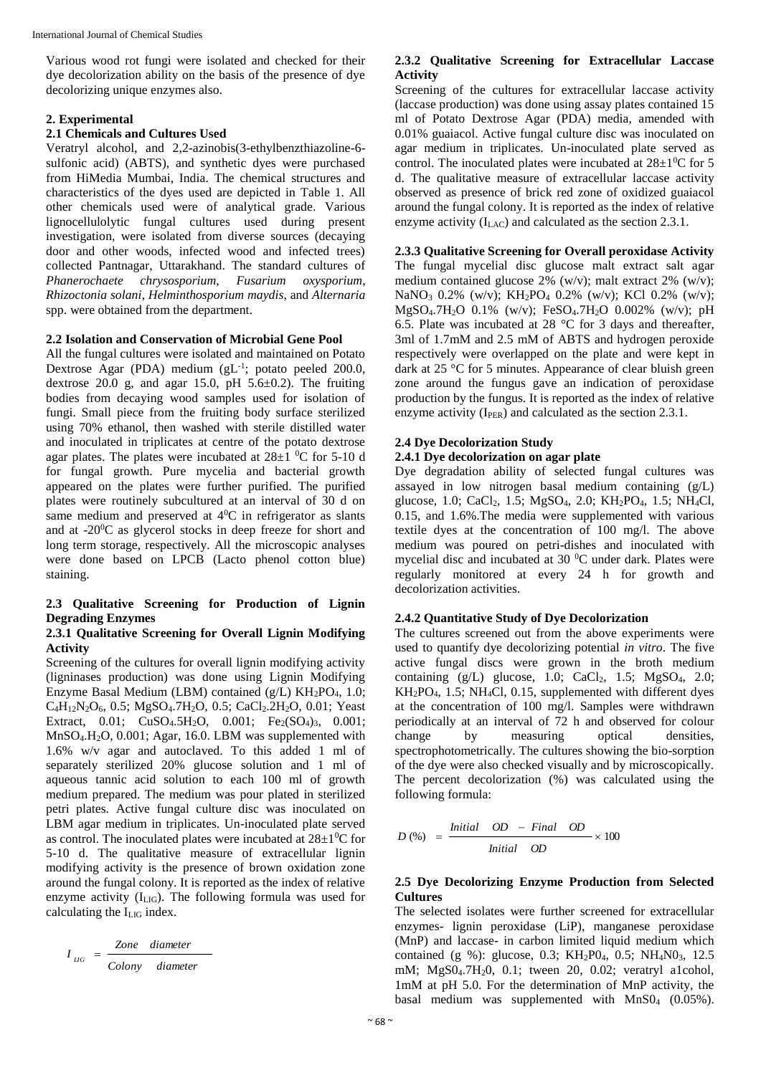Various wood rot fungi were isolated and checked for their dye decolorization ability on the basis of the presence of dye decolorizing unique enzymes also.

#### **2. Experimental**

# **2.1 Chemicals and Cultures Used**

Veratryl alcohol, and 2,2-azinobis(3-ethylbenzthiazoline-6 sulfonic acid) (ABTS), and synthetic dyes were purchased from HiMedia Mumbai, India. The chemical structures and characteristics of the dyes used are depicted in Table 1. All other chemicals used were of analytical grade. Various lignocellulolytic fungal cultures used during present investigation, were isolated from diverse sources (decaying door and other woods, infected wood and infected trees) collected Pantnagar, Uttarakhand. The standard cultures of *Phanerochaete chrysosporium*. *Fusarium oxysporium*. *Phanerochaete chrysosporium, Rhizoctonia solani*, *Helminthosporium maydis*, and *Alternaria* spp. were obtained from the department.

#### **2.2 Isolation and Conservation of Microbial Gene Pool**

All the fungal cultures were isolated and maintained on Potato Dextrose Agar (PDA) medium (gL<sup>-1</sup>; potato peeled 200.0, dextrose 20.0 g, and agar 15.0, pH  $5.6\pm0.2$ ). The fruiting bodies from decaying wood samples used for isolation of fungi. Small piece from the fruiting body surface sterilized using 70% ethanol, then washed with sterile distilled water and inoculated in triplicates at centre of the potato dextrose agar plates. The plates were incubated at  $28\pm1$  <sup>0</sup>C for 5-10 d for fungal growth. Pure mycelia and bacterial growth appeared on the plates were further purified. The purified plates were routinely subcultured at an interval of 30 d on same medium and preserved at  $4^{\circ}$ C in refrigerator as slants and at -20<sup>0</sup>C as glycerol stocks in deep freeze for short and long term storage, respectively. All the microscopic analyses were done based on LPCB (Lacto phenol cotton blue) staining.

## **2.3 Qualitative Screening for Production of Lignin Degrading Enzymes**

#### **2.3.1 Qualitative Screening for Overall Lignin Modifying Activity**

Screening of the cultures for overall lignin modifying activity (ligninases production) was done using Lignin Modifying Enzyme Basal Medium (LBM) contained (g/L)  $KH_2PO_4$ , 1.0; C4H12N2O6, 0.5; MgSO4.7H2O, 0.5; CaCl2.2H2O, 0.01; Yeast Extract, 0.01;  $CuSO<sub>4</sub>.5H<sub>2</sub>O$ , 0.001;  $Fe<sub>2</sub>(SO<sub>4</sub>)<sub>3</sub>$ , 0.001; MnSO4.H2O, 0.001; Agar, 16.0. LBM was supplemented with 1.6% w/v agar and autoclaved. To this added 1 ml of separately sterilized 20% glucose solution and 1 ml of aqueous tannic acid solution to each 100 ml of growth medium prepared. The medium was pour plated in sterilized petri plates. Active fungal culture disc was inoculated on LBM agar medium in triplicates. Un-inoculated plate served as control. The inoculated plates were incubated at  $28\pm10^{\circ}$  for 5-10 d. The qualitative measure of extracellular lignin modifying activity is the presence of brown oxidation zone around the fungal colony. It is reported as the index of relative enzyme activity (ILIG). The following formula was used for calculating the ILIG index.

$$
I_{LG} = \frac{Zone \ diameter}{Colony \ diameter}
$$

#### **2.3.2 Qualitative Screening for Extracellular Laccase Activity**

Screening of the cultures for extracellular laccase activity (laccase production) was done using assay plates contained 15 ml of Potato Dextrose Agar (PDA) media, amended with 0.01% guaiacol. Active fungal culture disc was inoculated on agar medium in triplicates. Un-inoculated plate served as control. The inoculated plates were incubated at  $28\pm1\textsuperscript{0}\text{C}$  for 5 d. The qualitative measure of extracellular laccase activity observed as presence of brick red zone of oxidized guaiacol around the fungal colony. It is reported as the index of relative enzyme activity  $(I<sub>LAC</sub>)$  and calculated as the section 2.3.1.

## **2.3.3 Qualitative Screening for Overall peroxidase Activity**

The fungal mycelial disc glucose malt extract salt agar medium contained glucose 2% (w/v); malt extract 2% (w/v); NaNO<sup>3</sup> 0.2% (w/v); KH2PO<sup>4</sup> 0.2% (w/v); KCl 0.2% (w/v); MgSO4.7H2O 0.1% (w/v); FeSO4.7H2O 0.002% (w/v); pH 6.5. Plate was incubated at 28  $^{\circ}$ C for 3 days and thereafter, 3ml of 1.7mM and 2.5 mM of ABTS and hydrogen peroxide respectively were overlapped on the plate and were kept in dark at 25 °C for 5 minutes. Appearance of clear bluish green zone around the fungus gave an indication of peroxidase production by the fungus. It is reported as the index of relative enzyme activity  $(I_{PER})$  and calculated as the section 2.3.1.

#### **2.4 Dye Decolorization Study**

# **2.4.1 Dye decolorization on agar plate**

Dye degradation ability of selected fungal cultures was assayed in low nitrogen basal medium containing (g/L) glucose, 1.0; CaCl<sub>2</sub>, 1.5; MgSO<sub>4</sub>, 2.0; KH<sub>2</sub>PO<sub>4</sub>, 1.5; NH<sub>4</sub>Cl, 0.15, and 1.6%.The media were supplemented with various textile dyes at the concentration of 100 mg/l. The above medium was poured on petri-dishes and inoculated with mycelial disc and incubated at 30 °C under dark. Plates were regularly monitored at every 24 h for growth and decolorization activities.

#### **2.4.2 Quantitative Study of Dye Decolorization**

The cultures screened out from the above experiments were used to quantify dye decolorizing potential *in vitro*. The five active fungal discs were grown in the broth medium containing  $(g/L)$  glucose, 1.0; CaCl<sub>2</sub>, 1.5; MgSO<sub>4</sub>, 2.0;  $KH_2PO_4$ , 1.5; NH<sub>4</sub>Cl, 0.15, supplemented with different dyes at the concentration of 100 mg/l. Samples were withdrawn periodically at an interval of 72 h and observed for colour change by measuring optical densities, spectrophotometrically. The cultures showing the bio-sorption of the dye were also checked visually and by microscopically. The percent decolorization (%) was calculated using the following formula:

$$
D\left(\%\right) = \frac{Initial\quad OD - Final\quad OD}{Initial\quad OD} \times 100
$$

#### **2.5 Dye Decolorizing Enzyme Production from Selected Cultures**

The selected isolates were further screened for extracellular enzymes- lignin peroxidase (LiP), manganese peroxidase (MnP) and laccase- in carbon limited liquid medium which contained (g %): glucose, 0.3; KH<sub>2</sub>P0<sub>4</sub>, 0.5; NH<sub>4</sub>N0<sub>3</sub>, 12.5 mM; MgS04.7H20, 0.1; tween 20, 0.02; veratryl a1cohol, 1mM at pH 5.0. For the determination of MnP activity, the basal medium was supplemented with  $MnSO<sub>4</sub>$  (0.05%).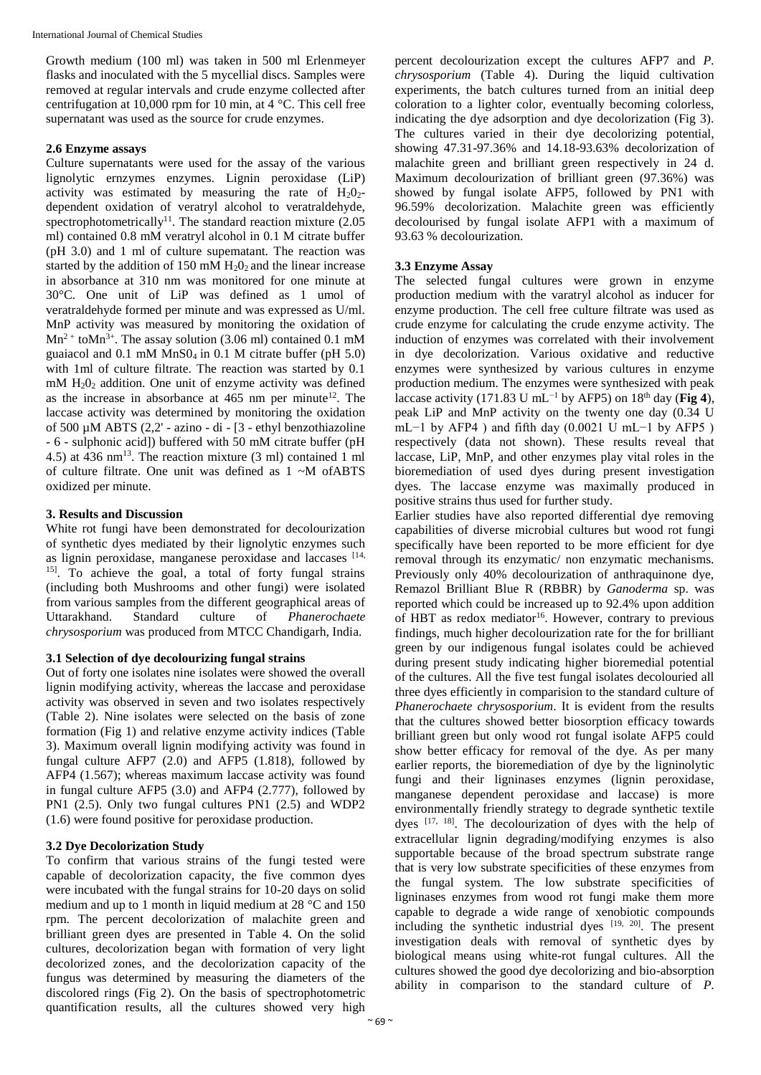Growth medium (100 ml) was taken in 500 ml Erlenmeyer flasks and inoculated with the 5 mycellial discs. Samples were removed at regular intervals and crude enzyme collected after centrifugation at 10,000 rpm for 10 min, at 4 °C. This cell free supernatant was used as the source for crude enzymes.

#### **2.6 Enzyme assays**

Culture supernatants were used for the assay of the various lignolytic ernzymes enzymes. Lignin peroxidase (LiP) activity was estimated by measuring the rate of  $H_2O_2$ dependent oxidation of veratryl alcohol to veratraldehyde, spectrophotometrically<sup>11</sup>. The standard reaction mixture  $(2.05$ ml) contained 0.8 mM veratryl alcohol in 0.1 M citrate buffer (pH 3.0) and 1 ml of culture supematant. The reaction was started by the addition of 150 mM  $H<sub>2</sub>O<sub>2</sub>$  and the linear increase in absorbance at 310 nm was monitored for one minute at 30°C. One unit of LiP was defined as 1 umol of veratraldehyde formed per minute and was expressed as U/ml. MnP activity was measured by monitoring the oxidation of  $Mn^{2+}$  to $Mn^{3+}$ . The assay solution (3.06 ml) contained 0.1 mM guaiacol and 0.1 mM MnS04 in 0.1 M citrate buffer (pH 5.0) with 1ml of culture filtrate. The reaction was started by 0.1 mM H20<sup>2</sup> addition. One unit of enzyme activity was defined as the increase in absorbance at  $465$  nm per minute<sup>12</sup>. The laccase activity was determined by monitoring the oxidation of 500 µM ABTS (2,2' - azino - di - [3 - ethyl benzothiazoline - 6 - sulphonic acid]) buffered with 50 mM citrate buffer (pH 4.5) at 436 nm<sup>13</sup>. The reaction mixture (3 ml) contained 1 ml of culture filtrate. One unit was defined as 1 ~M ofABTS oxidized per minute.

## **3. Results and Discussion**

White rot fungi have been demonstrated for decolourization of synthetic dyes mediated by their lignolytic enzymes such as lignin peroxidase, manganese peroxidase and laccases [14, <sup>15]</sup>. To achieve the goal, a total of forty fungal strains (including both Mushrooms and other fungi) were isolated from various samples from the different geographical areas of<br>Uttarakhand. Standard culture of *Phanerochaete* Uttarakhand. Standard culture of *Phanerochaete chrysosporium* was produced from MTCC Chandigarh, India.

#### **3.1 Selection of dye decolourizing fungal strains**

Out of forty one isolates nine isolates were showed the overall lignin modifying activity, whereas the laccase and peroxidase activity was observed in seven and two isolates respectively (Table 2). Nine isolates were selected on the basis of zone formation (Fig 1) and relative enzyme activity indices (Table 3). Maximum overall lignin modifying activity was found in fungal culture AFP7  $(2.0)$  and AFP5  $(1.818)$ , followed by AFP4 (1.567); whereas maximum laccase activity was found in fungal culture AFP5 (3.0) and AFP4 (2.777), followed by PN1 (2.5). Only two fungal cultures PN1 (2.5) and WDP2 (1.6) were found positive for peroxidase production.

# **3.2 Dye Decolorization Study**

To confirm that various strains of the fungi tested were capable of decolorization capacity, the five common dyes were incubated with the fungal strains for 10-20 days on solid medium and up to 1 month in liquid medium at 28 °C and 150 rpm. The percent decolorization of malachite green and brilliant green dyes are presented in Table 4. On the solid cultures, decolorization began with formation of very light decolorized zones, and the decolorization capacity of the fungus was determined by measuring the diameters of the discolored rings (Fig 2). On the basis of spectrophotometric quantification results, all the cultures showed very high

percent decolourization except the cultures AFP7 and *P. chrysosporium* (Table 4). During the liquid cultivation experiments, the batch cultures turned from an initial deep coloration to a lighter color, eventually becoming colorless, indicating the dye adsorption and dye decolorization (Fig 3). The cultures varied in their dye decolorizing potential, showing 47.31-97.36% and 14.18-93.63% decolorization of malachite green and brilliant green respectively in 24 d. Maximum decolourization of brilliant green (97.36%) was showed by fungal isolate AFP5, followed by PN1 with 96.59% decolorization. Malachite green was efficiently decolourised by fungal isolate AFP1 with a maximum of 93.63 % decolourization.

#### **3.3 Enzyme Assay**

The selected fungal cultures were grown in enzyme production medium with the varatryl alcohol as inducer for enzyme production. The cell free culture filtrate was used as crude enzyme for calculating the crude enzyme activity. The induction of enzymes was correlated with their involvement in dye decolorization. Various oxidative and reductive enzymes were synthesized by various cultures in enzyme production medium. The enzymes were synthesized with peak laccase activity (171.83 U mL<sup>-1</sup> by AFP5) on 18<sup>th</sup> day (**Fig 4**), peak LiP and MnP activity on the twenty one day (0.34 U mL−1 by AFP4) and fifth day  $(0.0021 \text{ U m}$ L−1 by AFP5) respectively (data not shown). These results reveal that laccase, LiP, MnP, and other enzymes play vital roles in the bioremediation of used dyes during present investigation dyes. The laccase enzyme was maximally produced in positive strains thus used for further study.

Earlier studies have also reported differential dye removing capabilities of diverse microbial cultures but wood rot fungi specifically have been reported to be more efficient for dye removal through its enzymatic/ non enzymatic mechanisms. Previously only 40% decolourization of anthraquinone dye, Remazol Brilliant Blue R (RBBR) by *Ganoderma* sp. was reported which could be increased up to 92.4% upon addition of HBT as redox mediator<sup>16</sup>. However, contrary to previous findings, much higher decolourization rate for the for brilliant green by our indigenous fungal isolates could be achieved during present study indicating higher bioremedial potential of the cultures. All the five test fungal isolates decolouried all three dyes efficiently in comparision to the standard culture of *Phanerochaete chrysosporium*. It is evident from the results that the cultures showed better biosorption efficacy towards brilliant green but only wood rot fungal isolate AFP5 could show better efficacy for removal of the dye. As per many earlier reports, the bioremediation of dye by the ligninolytic fungi and their ligninases enzymes (lignin peroxidase, manganese dependent peroxidase and laccase) is more environmentally friendly strategy to degrade synthetic textile dyes  $[17, 18]$ . The decolourization of dyes with the help of extracellular lignin degrading/modifying enzymes is also supportable because of the broad spectrum substrate range that is very low substrate specificities of these enzymes from the fungal system. The low substrate specificities of ligninases enzymes from wood rot fungi make them more capable to degrade a wide range of xenobiotic compounds including the synthetic industrial dyes [19, 20]. The present investigation deals with removal of synthetic dyes by biological means using white-rot fungal cultures. All the cultures showed the good dye decolorizing and bio-absorption ability in comparison to the standard culture of *P.*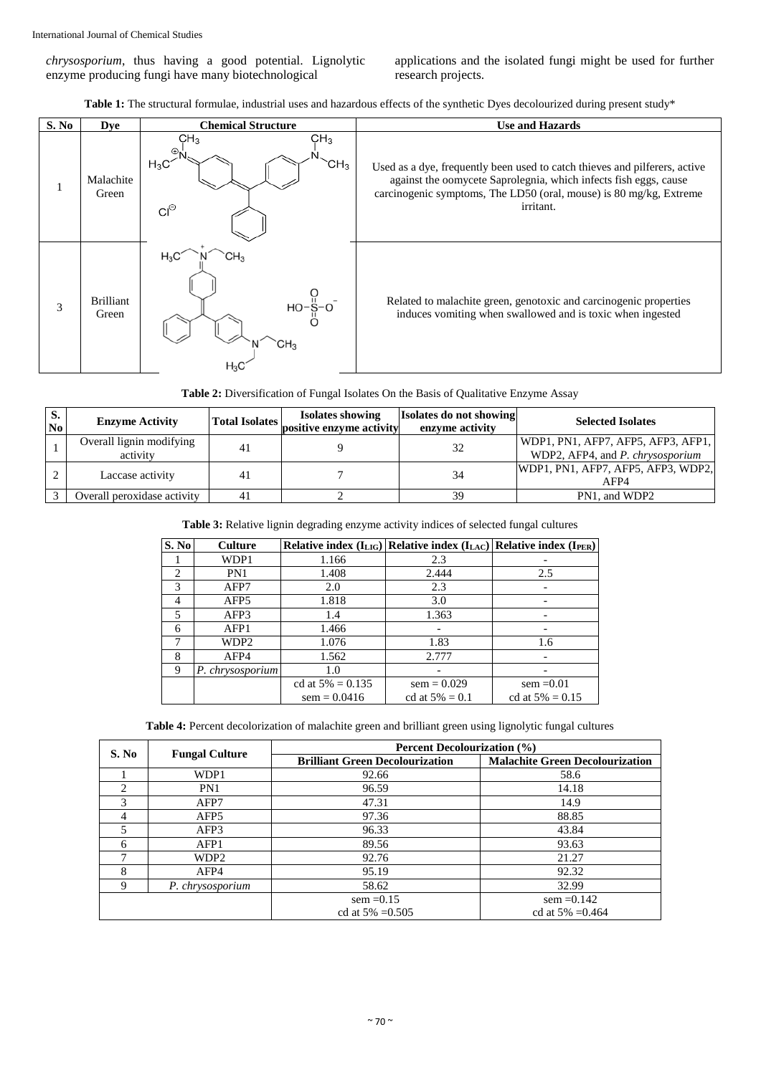*chrysosporium*, thus having a good potential. Lignolytic enzyme producing fungi have many biotechnological

applications and the isolated fungi might be used for further research projects.

Table 1: The structural formulae, industrial uses and hazardous effects of the synthetic Dyes decolourized during present study<sup>\*</sup>

| S. No | <b>Dye</b>                | <b>Chemical Structure</b>                                                             | <b>Use and Hazards</b>                                                                                                                                                                                                            |  |
|-------|---------------------------|---------------------------------------------------------------------------------------|-----------------------------------------------------------------------------------------------------------------------------------------------------------------------------------------------------------------------------------|--|
|       | Malachite<br>Green        | CH <sub>3</sub><br>CH <sub>3</sub><br>⊕⊾<br>$H_3C$<br>CH <sub>3</sub><br>$Cl^{\odot}$ | Used as a dye, frequently been used to catch thieves and pilferers, active<br>against the oomycete Saprolegnia, which infects fish eggs, cause<br>carcinogenic symptoms, The LD50 (oral, mouse) is 80 mg/kg, Extreme<br>irritant. |  |
| 3     | <b>Brilliant</b><br>Green | $H_3C$<br>ιНз<br>$HO-\frac{1}{5}-O$                                                   | Related to malachite green, genotoxic and carcinogenic properties<br>induces vomiting when swallowed and is toxic when ingested                                                                                                   |  |

| Table 2: Diversification of Fungal Isolates On the Basis of Qualitative Enzyme Assay |  |  |
|--------------------------------------------------------------------------------------|--|--|
|--------------------------------------------------------------------------------------|--|--|

| D.<br>N <sub>0</sub> | <b>Enzyme Activity</b>               | <b>Total Isolates</b> | <b>Isolates showing</b><br>positive enzyme activity | Isolates do not showing<br>enzyme activity | <b>Selected Isolates</b>                                               |
|----------------------|--------------------------------------|-----------------------|-----------------------------------------------------|--------------------------------------------|------------------------------------------------------------------------|
|                      | Overall lignin modifying<br>activity | 41                    |                                                     | 32                                         | WDP1, PN1, AFP7, AFP5, AFP3, AFP1,<br>WDP2, AFP4, and P. chrysosporium |
|                      | Laccase activity                     | 41                    |                                                     | 34                                         | WDP1, PN1, AFP7, AFP5, AFP3, WDP2,<br>AFP4                             |
|                      | Overall peroxidase activity          | 41                    |                                                     | 39                                         | PN1, and WDP2                                                          |

#### **Table 3:** Relative lignin degrading enzyme activity indices of selected fungal cultures

| S. No | <b>Culture</b>   |                     | Relative index $(I_{LIG})$ Relative index $(I_{LAC})$ Relative index $(I_{PER})$ |                    |
|-------|------------------|---------------------|----------------------------------------------------------------------------------|--------------------|
|       | WDP1             | 1.166               | 2.3                                                                              |                    |
| 2     | PN1              | 1.408               | 2.444                                                                            | 2.5                |
| 3     | AFP7             | 2.0                 | 2.3                                                                              |                    |
| 4     | AFP5             | 1.818               | 3.0                                                                              |                    |
| 5     | AFP3             | 1.4                 | 1.363                                                                            |                    |
| 6     | AFP1             | 1.466               |                                                                                  |                    |
| 7     | WDP2             | 1.076               | 1.83                                                                             | 1.6                |
| 8     | AFP4             | 1.562               | 2.777                                                                            |                    |
| 9     | P. chrysosporium | 1.0                 |                                                                                  |                    |
|       |                  | cd at $5\% = 0.135$ | $sem = 0.029$                                                                    | $sem = 0.01$       |
|       |                  | $sem = 0.0416$      | cd at $5\% = 0.1$                                                                | cd at $5\% = 0.15$ |

**Table 4:** Percent decolorization of malachite green and brilliant green using lignolytic fungal cultures

|                |                       | Percent Decolourization (%)            |                                        |  |
|----------------|-----------------------|----------------------------------------|----------------------------------------|--|
| S. No          | <b>Fungal Culture</b> | <b>Brilliant Green Decolourization</b> | <b>Malachite Green Decolourization</b> |  |
|                | WDP1                  | 92.66                                  | 58.6                                   |  |
| $\mathfrak{D}$ | PN <sub>1</sub>       | 96.59                                  | 14.18                                  |  |
| 3              | AFP7                  | 47.31                                  | 14.9                                   |  |
| 4              | AFP <sub>5</sub>      | 97.36                                  | 88.85                                  |  |
| 5              | AFP3                  | 96.33                                  | 43.84                                  |  |
| 6              | AFP1                  | 89.56                                  | 93.63                                  |  |
| 7              | WDP <sub>2</sub>      | 92.76                                  | 21.27                                  |  |
| 8              | AFP4                  | 95.19                                  | 92.32                                  |  |
| 9              | P. chrysosporium      | 58.62                                  | 32.99                                  |  |
|                |                       | $sem = 0.15$                           | $sem = 0.142$                          |  |
|                |                       | cd at $5\% = 0.505$                    | cd at $5\% = 0.464$                    |  |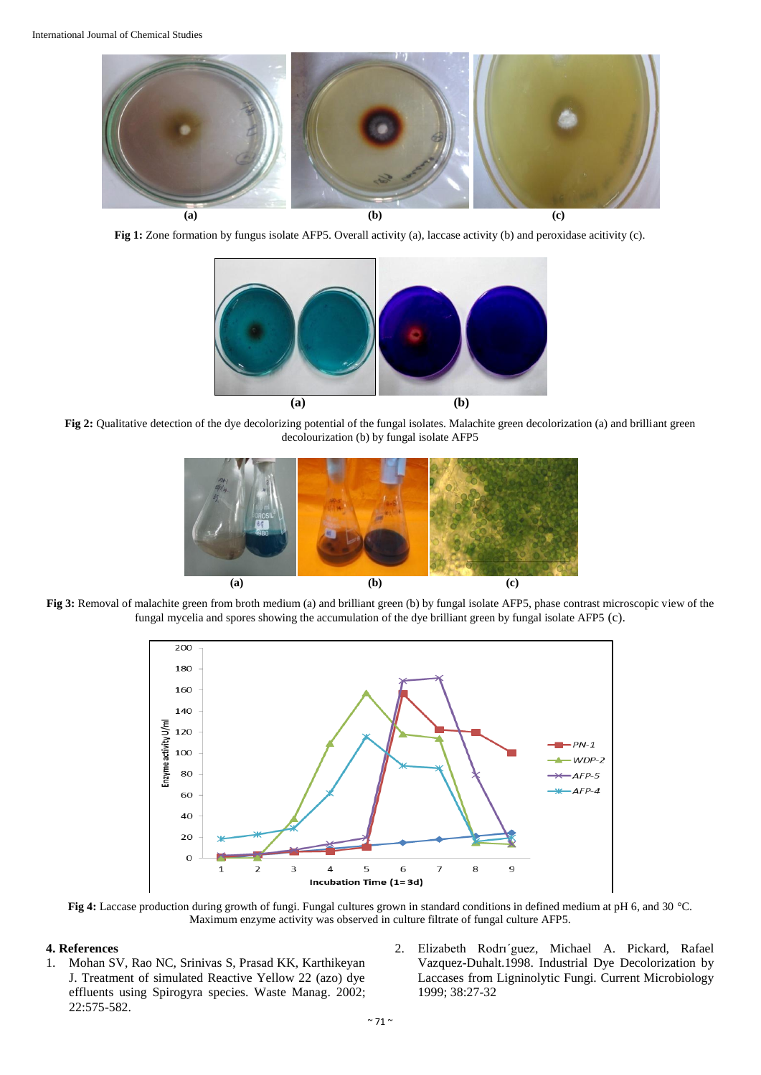

**Fig 1:** Zone formation by fungus isolate AFP5. Overall activity (a), laccase activity (b) and peroxidase acitivity (c).



Fig 2: Qualitative detection of the dye decolorizing potential of the fungal isolates. Malachite green decolorization (a) and brilliant green decolourization (b) by fungal isolate AFP5



**Fig 3:** Removal of malachite green from broth medium (a) and brilliant green (b) by fungal isolate AFP5, phase contrast microscopic view of the fungal mycelia and spores showing the accumulation of the dye brilliant green by fungal isolate AFP5 (c).



**Fig 4:** Laccase production during growth of fungi. Fungal cultures grown in standard conditions in defined medium at pH 6, and 30 °C. Maximum enzyme activity was observed in culture filtrate of fungal culture AFP5.

#### **4. References**

- 1. Mohan SV, Rao NC, Srinivas S, Prasad KK, Karthikeyan J. Treatment of simulated Reactive Yellow 22 (azo) dye effluents using Spirogyra species. Waste Manag. 2002; 22:575-582.
- 2. Elizabeth Rodrı´guez, Michael A. Pickard, Rafael Vazquez-Duhalt.1998. Industrial Dye Decolorization by Laccases from Ligninolytic Fungi. Current Microbiology 1999; 38:27-32